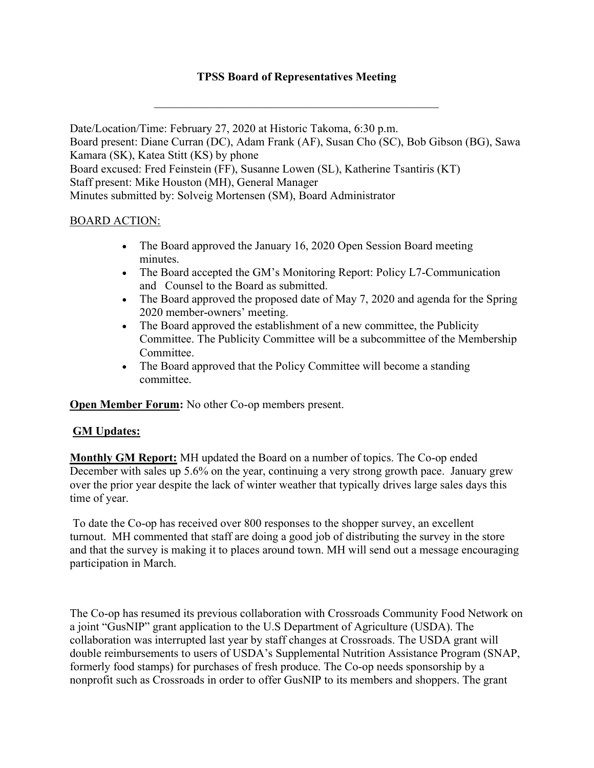## TPSS Board of Representatives Meeting

Date/Location/Time: February 27, 2020 at Historic Takoma, 6:30 p.m. Board present: Diane Curran (DC), Adam Frank (AF), Susan Cho (SC), Bob Gibson (BG), Sawa Kamara (SK), Katea Stitt (KS) by phone Board excused: Fred Feinstein (FF), Susanne Lowen (SL), Katherine Tsantiris (KT) Staff present: Mike Houston (MH), General Manager Minutes submitted by: Solveig Mortensen (SM), Board Administrator

#### BOARD ACTION:

- The Board approved the January 16, 2020 Open Session Board meeting minutes.
- The Board accepted the GM's Monitoring Report: Policy L7-Communication and Counsel to the Board as submitted.
- The Board approved the proposed date of May 7, 2020 and agenda for the Spring 2020 member-owners' meeting.
- The Board approved the establishment of a new committee, the Publicity Committee. The Publicity Committee will be a subcommittee of the Membership Committee.
- The Board approved that the Policy Committee will become a standing committee.

Open Member Forum: No other Co-op members present.

## **GM Updates:**

Monthly GM Report: MH updated the Board on a number of topics. The Co-op ended December with sales up 5.6% on the year, continuing a very strong growth pace. January grew over the prior year despite the lack of winter weather that typically drives large sales days this time of year.

 To date the Co-op has received over 800 responses to the shopper survey, an excellent turnout. MH commented that staff are doing a good job of distributing the survey in the store and that the survey is making it to places around town. MH will send out a message encouraging participation in March.

The Co-op has resumed its previous collaboration with Crossroads Community Food Network on a joint "GusNIP" grant application to the U.S Department of Agriculture (USDA). The collaboration was interrupted last year by staff changes at Crossroads. The USDA grant will double reimbursements to users of USDA's Supplemental Nutrition Assistance Program (SNAP, formerly food stamps) for purchases of fresh produce. The Co-op needs sponsorship by a nonprofit such as Crossroads in order to offer GusNIP to its members and shoppers. The grant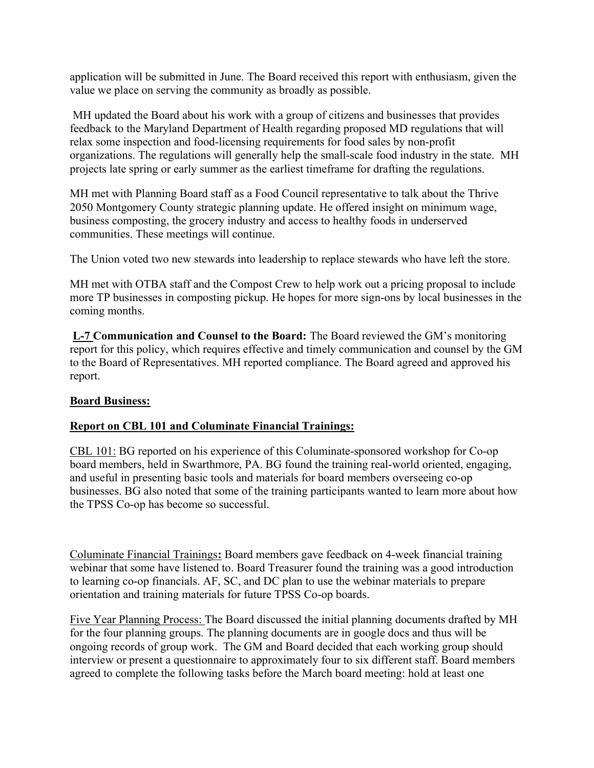application will be submitted in June. The Board received this report with enthusiasm, given the value we place on serving the community as broadly as possible.

 MH updated the Board about his work with a group of citizens and businesses that provides feedback to the Maryland Department of Health regarding proposed MD regulations that will relax some inspection and food-licensing requirements for food sales by non-profit organizations. The regulations will generally help the small-scale food industry in the state. MH projects late spring or early summer as the earliest timeframe for drafting the regulations.

MH met with Planning Board staff as a Food Council representative to talk about the Thrive 2050 Montgomery County strategic planning update. He offered insight on minimum wage, business composting, the grocery industry and access to healthy foods in underserved communities. These meetings will continue.

The Union voted two new stewards into leadership to replace stewards who have left the store.

MH met with OTBA staff and the Compost Crew to help work out a pricing proposal to include more TP businesses in composting pickup. He hopes for more sign-ons by local businesses in the coming months.

L-7 Communication and Counsel to the Board: The Board reviewed the GM's monitoring report for this policy, which requires effective and timely communication and counsel by the GM to the Board of Representatives. MH reported compliance. The Board agreed and approved his report.

## Board Business:

## Report on CBL 101 and Columinate Financial Trainings:

CBL 101: BG reported on his experience of this Columinate-sponsored workshop for Co-op board members, held in Swarthmore, PA. BG found the training real-world oriented, engaging, and useful in presenting basic tools and materials for board members overseeing co-op businesses. BG also noted that some of the training participants wanted to learn more about how the TPSS Co-op has become so successful.

Columinate Financial Trainings: Board members gave feedback on 4-week financial training webinar that some have listened to. Board Treasurer found the training was a good introduction to learning co-op financials. AF, SC, and DC plan to use the webinar materials to prepare orientation and training materials for future TPSS Co-op boards.

Five Year Planning Process: The Board discussed the initial planning documents drafted by MH for the four planning groups. The planning documents are in google docs and thus will be ongoing records of group work. The GM and Board decided that each working group should interview or present a questionnaire to approximately four to six different staff. Board members agreed to complete the following tasks before the March board meeting: hold at least one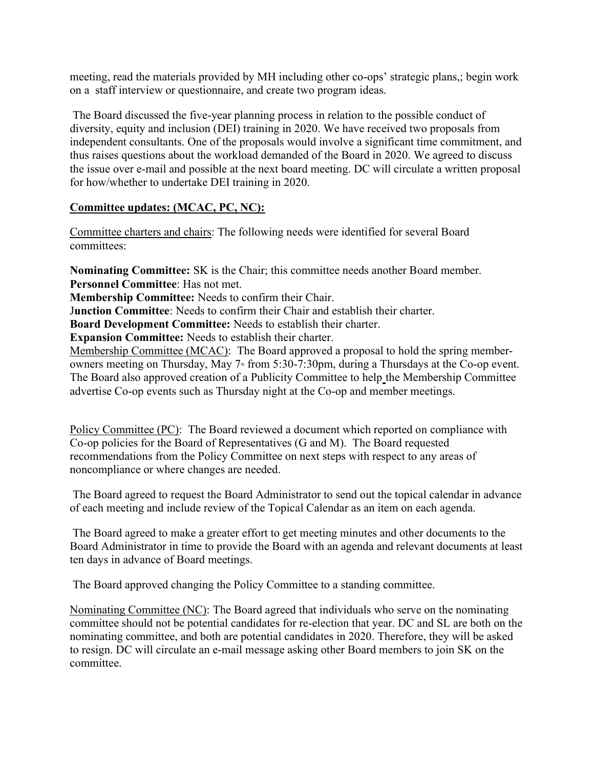meeting, read the materials provided by MH including other co-ops' strategic plans,; begin work on a staff interview or questionnaire, and create two program ideas.

 The Board discussed the five-year planning process in relation to the possible conduct of diversity, equity and inclusion (DEI) training in 2020. We have received two proposals from independent consultants. One of the proposals would involve a significant time commitment, and thus raises questions about the workload demanded of the Board in 2020. We agreed to discuss the issue over e-mail and possible at the next board meeting. DC will circulate a written proposal for how/whether to undertake DEI training in 2020.

## Committee updates: (MCAC, PC, NC):

Committee charters and chairs: The following needs were identified for several Board committees:

Nominating Committee: SK is the Chair; this committee needs another Board member. Personnel Committee: Has not met.

Membership Committee: Needs to confirm their Chair.

Junction Committee: Needs to confirm their Chair and establish their charter.

Board Development Committee: Needs to establish their charter.

Expansion Committee: Needs to establish their charter.

Membership Committee (MCAC): The Board approved a proposal to hold the spring memberowners meeting on Thursday, May  $7^{\text{th}}$  from 5:30-7:30pm, during a Thursdays at the Co-op event. The Board also approved creation of a Publicity Committee to help the Membership Committee advertise Co-op events such as Thursday night at the Co-op and member meetings.

Policy Committee (PC): The Board reviewed a document which reported on compliance with Co-op policies for the Board of Representatives (G and M). The Board requested recommendations from the Policy Committee on next steps with respect to any areas of noncompliance or where changes are needed.

 The Board agreed to request the Board Administrator to send out the topical calendar in advance of each meeting and include review of the Topical Calendar as an item on each agenda.

 The Board agreed to make a greater effort to get meeting minutes and other documents to the Board Administrator in time to provide the Board with an agenda and relevant documents at least ten days in advance of Board meetings.

The Board approved changing the Policy Committee to a standing committee.

Nominating Committee (NC): The Board agreed that individuals who serve on the nominating committee should not be potential candidates for re-election that year. DC and SL are both on the nominating committee, and both are potential candidates in 2020. Therefore, they will be asked to resign. DC will circulate an e-mail message asking other Board members to join SK on the committee.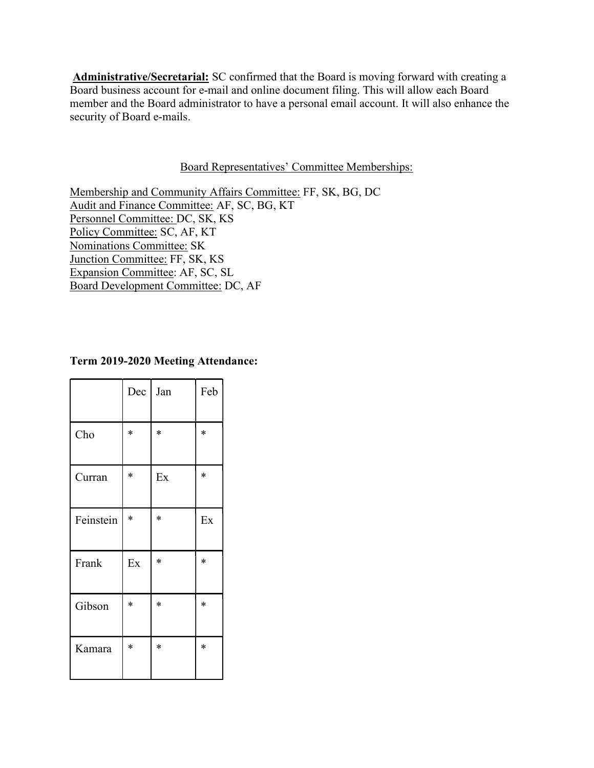Administrative/Secretarial: SC confirmed that the Board is moving forward with creating a Board business account for e-mail and online document filing. This will allow each Board member and the Board administrator to have a personal email account. It will also enhance the security of Board e-mails.

#### Board Representatives' Committee Memberships:

Membership and Community Affairs Committee: FF, SK, BG, DC Audit and Finance Committee: AF, SC, BG, KT Personnel Committee: DC, SK, KS Policy Committee: SC, AF, KT Nominations Committee: SK Junction Committee: FF, SK, KS Expansion Committee: AF, SC, SL Board Development Committee: DC, AF

#### Term 2019-2020 Meeting Attendance:

|           | $Dec$ Jan |        | Feb    |
|-----------|-----------|--------|--------|
| Cho       | $\ast$    | $\ast$ | $\ast$ |
| Curran    | $\ast$    | Ex     | *      |
| Feinstein | $\ast$    | $\ast$ | Ex     |
| Frank     | Ex        | $\ast$ | $\ast$ |
| Gibson    | $\ast$    | $\ast$ | *      |
| Kamara    | $\ast$    | $\ast$ | $\ast$ |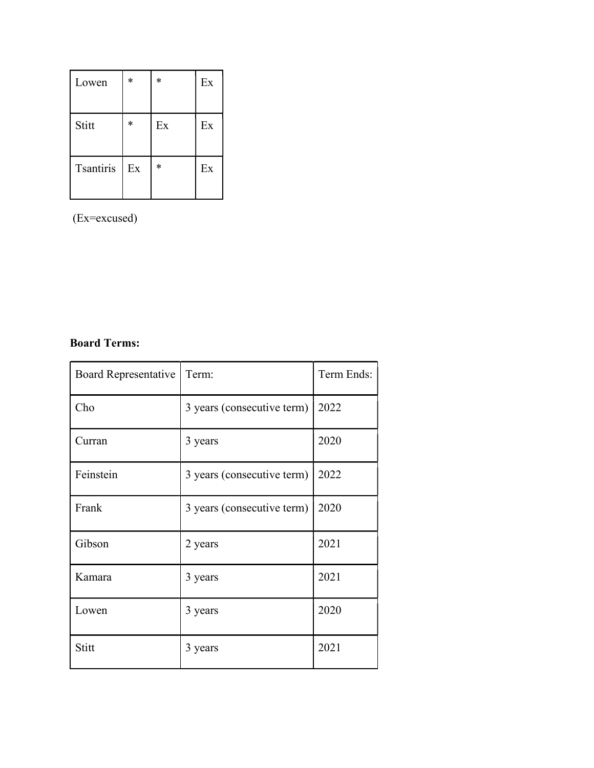| Lowen            | $\ast$ | $\ast$ | Ex |
|------------------|--------|--------|----|
| Stitt            | $\ast$ | Ex     | Ex |
| <b>Tsantiris</b> | Ex     | $\ast$ | Ex |

(Ex=excused)

# Board Terms:

| <b>Board Representative</b> | Term:                      | Term Ends: |
|-----------------------------|----------------------------|------------|
| Cho                         | 3 years (consecutive term) | 2022       |
| Curran                      | 3 years                    | 2020       |
| Feinstein                   | 3 years (consecutive term) | 2022       |
| Frank                       | 3 years (consecutive term) | 2020       |
| Gibson                      | 2 years                    | 2021       |
| Kamara                      | 3 years                    | 2021       |
| Lowen                       | 3 years                    | 2020       |
| Stitt                       | 3 years                    | 2021       |